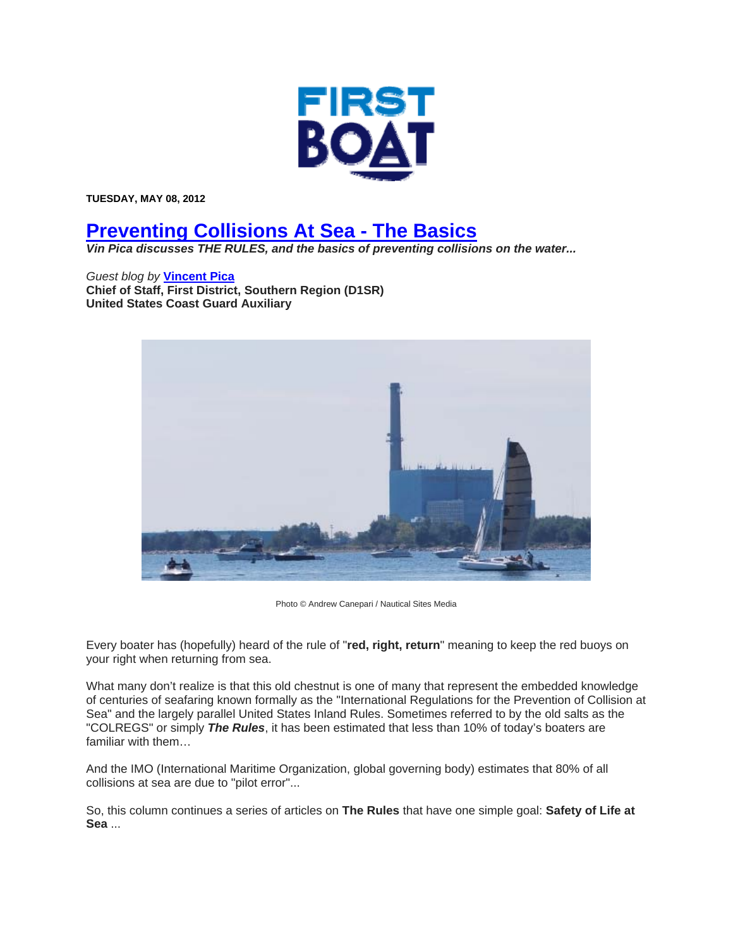

**TUESDAY, MAY 08, 2012** 

# **Preventing Collisions At Sea - The Basics**

*Vin Pica discusses THE RULES, and the basics of preventing collisions on the water...* 

*Guest blog by* **Vincent Pica Chief of Staff, First District, Southern Region (D1SR) United States Coast Guard Auxiliary**



Photo © Andrew Canepari / Nautical Sites Media

Every boater has (hopefully) heard of the rule of "**red, right, return**" meaning to keep the red buoys on your right when returning from sea.

What many don't realize is that this old chestnut is one of many that represent the embedded knowledge of centuries of seafaring known formally as the "International Regulations for the Prevention of Collision at Sea" and the largely parallel United States Inland Rules. Sometimes referred to by the old salts as the "COLREGS" or simply *The Rules*, it has been estimated that less than 10% of today's boaters are familiar with them…

And the IMO (International Maritime Organization, global governing body) estimates that 80% of all collisions at sea are due to "pilot error"...

So, this column continues a series of articles on **The Rules** that have one simple goal: **Safety of Life at Sea** ...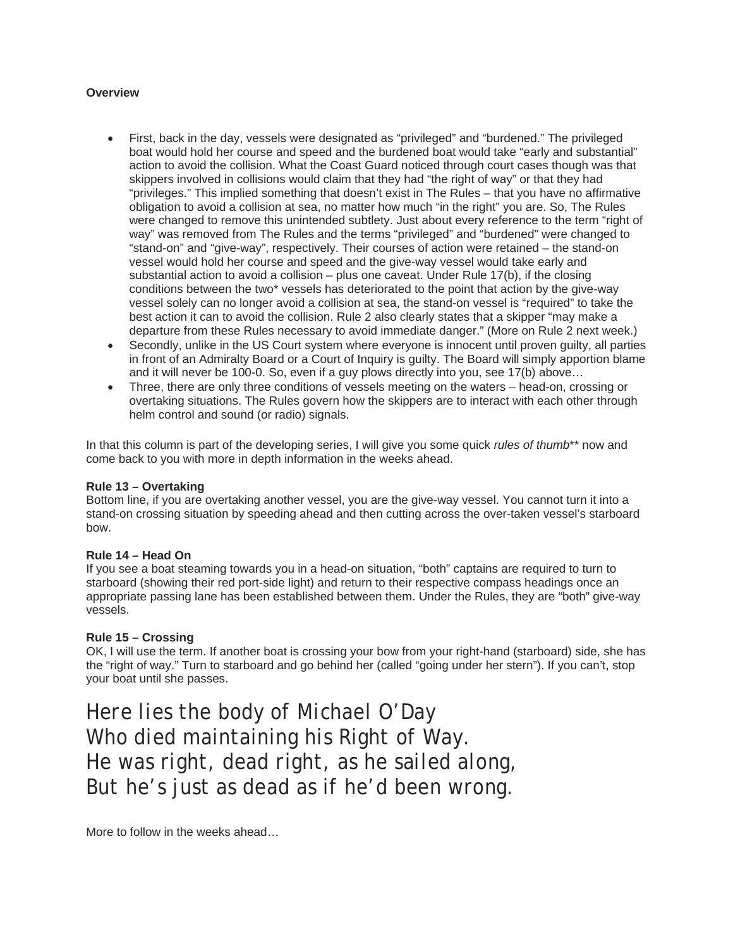## **Overview**

- First, back in the day, vessels were designated as "privileged" and "burdened." The privileged boat would hold her course and speed and the burdened boat would take "early and substantial" action to avoid the collision. What the Coast Guard noticed through court cases though was that skippers involved in collisions would claim that they had "the right of way" or that they had "privileges." This implied something that doesn't exist in The Rules – that you have no affirmative obligation to avoid a collision at sea, no matter how much "in the right" you are. So, The Rules were changed to remove this unintended subtlety. Just about every reference to the term "right of way" was removed from The Rules and the terms "privileged" and "burdened" were changed to "stand-on" and "give-way", respectively. Their courses of action were retained – the stand-on vessel would hold her course and speed and the give-way vessel would take early and substantial action to avoid a collision – plus one caveat. Under Rule 17(b), if the closing conditions between the two\* vessels has deteriorated to the point that action by the give-way vessel solely can no longer avoid a collision at sea, the stand-on vessel is "required" to take the best action it can to avoid the collision. Rule 2 also clearly states that a skipper "may make a departure from these Rules necessary to avoid immediate danger." (More on Rule 2 next week.)
- Secondly, unlike in the US Court system where everyone is innocent until proven guilty, all parties in front of an Admiralty Board or a Court of Inquiry is guilty. The Board will simply apportion blame and it will never be 100-0. So, even if a guy plows directly into you, see 17(b) above…
- Three, there are only three conditions of vessels meeting on the waters head-on, crossing or overtaking situations. The Rules govern how the skippers are to interact with each other through helm control and sound (or radio) signals.

In that this column is part of the developing series, I will give you some quick *rules of thumb*\*\* now and come back to you with more in depth information in the weeks ahead.

### **Rule 13 – Overtaking**

Bottom line, if you are overtaking another vessel, you are the give-way vessel. You cannot turn it into a stand-on crossing situation by speeding ahead and then cutting across the over-taken vessel's starboard bow.

### **Rule 14 – Head On**

If you see a boat steaming towards you in a head-on situation, "both" captains are required to turn to starboard (showing their red port-side light) and return to their respective compass headings once an appropriate passing lane has been established between them. Under the Rules, they are "both" give-way vessels.

### **Rule 15 – Crossing**

OK, I will use the term. If another boat is crossing your bow from your right-hand (starboard) side, she has the "right of way." Turn to starboard and go behind her (called "going under her stern"). If you can't, stop your boat until she passes.

*Here lies the body of Michael O'Day Who died maintaining his Right of Way. He was right, dead right, as he sailed along, But he's just as dead as if he'd been wrong.*

More to follow in the weeks ahead…